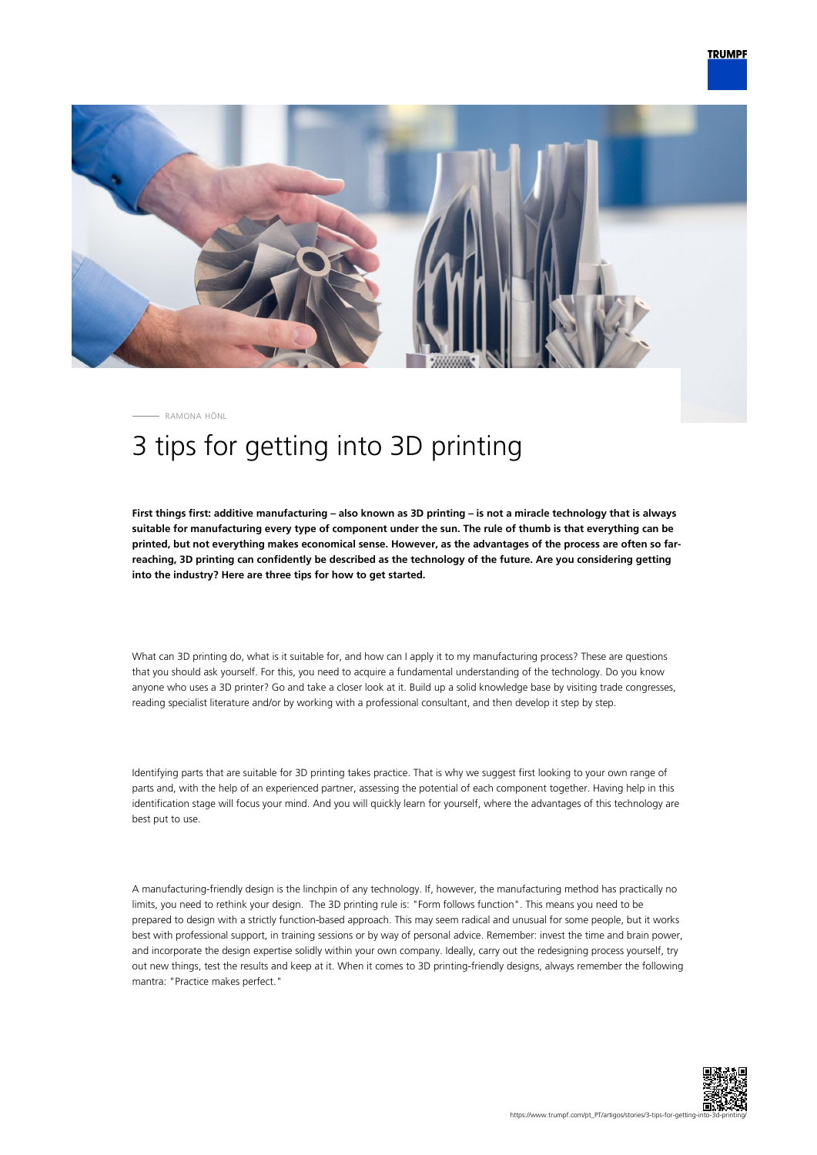

RAMONA HÖNL

## 3 tips for getting into 3D printing

**First things first: additive manufacturing – also known as 3D printing – is not a miracle technology that is always suitable for manufacturing every type of component under the sun. The rule of thumb is that everything can be printed, but not everything makes economical sense. However, as the advantages of the process are often so farreaching, 3D printing can confidently be described as the technology of the future. Are you considering getting into the industry? Here are three tips for how to get started.**

What can 3D printing do, what is it suitable for, and how can I apply it to my manufacturing process? These are questions that you should ask yourself. For this, you need to acquire a fundamental understanding of the technology. Do you know anyone who uses a 3D printer? Go and take a closer look at it. Build up a solid knowledge base by visiting trade congresses, reading specialist literature and/or by working with a professional consultant, and then develop it step by step.

Identifying parts that are suitable for 3D printing takes practice. That is why we suggest first looking to your own range of parts and, with the help of an experienced partner, assessing the potential of each component together. Having help in this identification stage will focus your mind. And you will quickly learn for yourself, where the advantages of this technology are best put to use.

A manufacturing-friendly design is the linchpin of any technology. If, however, the manufacturing method has practically no limits, you need to rethink your design. The 3D printing rule is: "Form follows function". This means you need to be prepared to design with a strictly function-based approach. This may seem radical and unusual for some people, but it works best with professional support, in training sessions or by way of personal advice. Remember: invest the time and brain power, and incorporate the design expertise solidly within your own company. Ideally, carry out the redesigning process yourself, try out new things, test the results and keep at it. When it comes to 3D printing-friendly designs, always remember the following mantra: "Practice makes perfect."